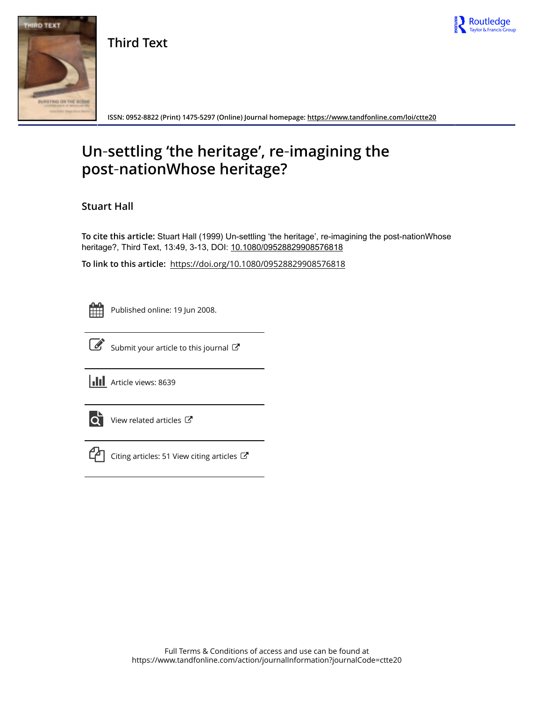

**Third Text**



**ISSN: 0952-8822 (Print) 1475-5297 (Online) Journal homepage:<https://www.tandfonline.com/loi/ctte20>**

## **Un**‐**settling 'the heritage', re**‐**imagining the post**‐**nationWhose heritage?**

### **Stuart Hall**

**To cite this article:** Stuart Hall (1999) Un‐settling 'the heritage', re‐imagining the post‐nationWhose heritage?, Third Text, 13:49, 3-13, DOI: [10.1080/09528829908576818](https://www.tandfonline.com/action/showCitFormats?doi=10.1080/09528829908576818)

**To link to this article:** <https://doi.org/10.1080/09528829908576818>

Published online: 19 Jun 2008.



 $\overrightarrow{S}$  [Submit your article to this journal](https://www.tandfonline.com/action/authorSubmission?journalCode=ctte20&show=instructions)  $\overrightarrow{S}$ 

**III** Article views: 8639



 $\overrightarrow{Q}$  [View related articles](https://www.tandfonline.com/doi/mlt/10.1080/09528829908576818)  $\overrightarrow{C}$ 



 $\Box$  [Citing articles: 51 View citing articles](https://www.tandfonline.com/doi/citedby/10.1080/09528829908576818#tabModule)  $\Box$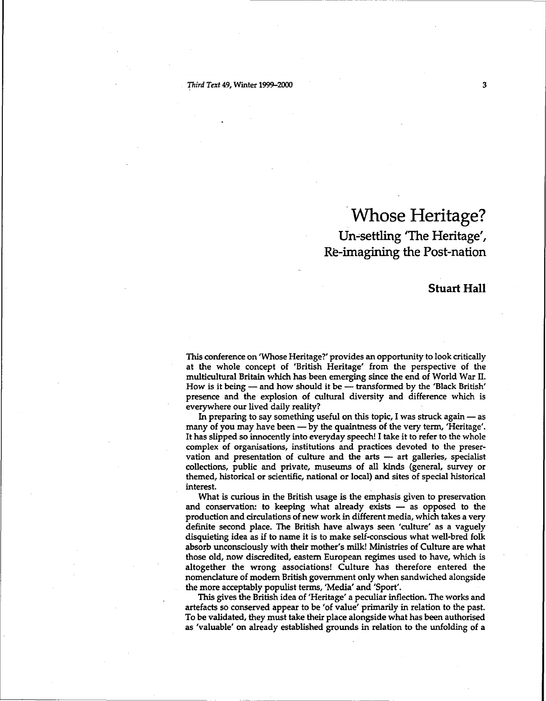#### *Third Text* 49, Winter 1999-2000 **3**

# Whose Heritage?

Un-settling 'The Heritage', Re-imagining the Post-nation

### **Stuart Hall**

This conference on 'Whose Heritage?' provides an opportunity to look critically at the whole concept of 'British Heritage' from the perspective of the multicultural Britain which has been emerging since the end of World War II. How is it being — and how should it be — transformed by the 'Black British' presence and the explosion of cultural diversity and difference which is everywhere our lived daily reality?

In preparing to say something useful on this topic, I was struck again — as many of you may have been — by the quaintness of the very term, 'Heritage'. It has slipped so innocently into everyday speech! I take it to refer to the whole complex of organisations, institutions and practices devoted to the preservation and presentation of culture and the arts — art galleries, specialist collections, public and private, museums of all kinds (general, survey or themed, historical or scientific, national or local) and sites of special historical interest.

What is curious in the British usage is the emphasis given to preservation and conservation: to keeping what already exists — as opposed to the production and circulations of new work in different media, which takes a very definite second place. The British have always seen 'culture' as a vaguely disquieting idea as if to name it is to make self-conscious what well-bred folk absorb unconsciously with their mother's milk! Ministries of Culture are what those old, now discredited, eastern European regimes used to have, which is altogether the wrong associations! Culture has therefore entered the nomenclature of modern British government only when sandwiched alongside the more acceptably populist terms, 'Media' and 'Sport'.

This gives the British idea of 'Heritage' a peculiar inflection. The works and artefacts so conserved appear to be 'of value' primarily in relation to the past. To be validated, they must take their place alongside what has been authorised as 'valuable' on already established grounds in relation to the unfolding of a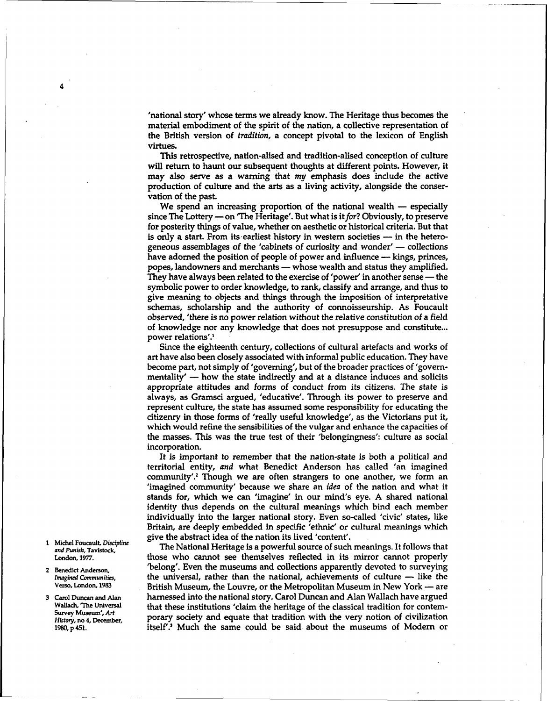'national story' whose terms we already know. The Heritage thus becomes the material embodiment of the spirit of the nation, a collective representation of the British version of *tradition,* a concept pivotal to the lexicon of English virtues.

This retrospective, nation-alised and tradition-alised conception of culture will return to haunt our subsequent thoughts at different points. However, it may also serve as a warning that *my* emphasis does include the active production of culture and the arts as a living activity, alongside the conservation of the past.

We spend an increasing proportion of the national wealth — especially since The Lottery—on The Heritage'. But what is *it for?* Obviously, to preserve for posterity things of value, whether on aesthetic or historical criteria. But that is only a start. From its earliest history in western societies — in the heterogeneous assemblages of the 'cabinets of curiosity and wonder' — collections have adorned the position of people of power and influence — kings, princes, popes, landowners and merchants — whose wealth and status they amplified. They have always been related to the exercise of 'power' in another sense — the symbolic power to order knowledge, to rank, classify and arrange, and thus to give meaning to objects and things through the imposition of interpretative schemas, scholarship and the authority of connoisseurship. As Foucault observed, 'there is no power relation without the relative constitution of a field of knowledge nor any knowledge that does not presuppose and constitute... power relations'.<sup>1</sup>

Since the eighteenth century, collections of cultural artefacts and works of art have also been closely associated with informal public education. They have become part, not simply of 'governing', but of the broader practices of 'governmentality' — how the state indirectly and at a distance induces and solicits appropriate attitudes and forms of conduct from its citizens. The state is always, as Gramsci argued, 'educative'. Through its power to preserve and represent culture, the state has assumed some responsibility for educating the citizenry in those forms of 'really useful knowledge', as the Victorians put it, which would refine the sensibilities of the vulgar and enhance the capacities of the masses. This was the true test of their 'belongingness': culture as social incorporation.

It is important to remember that the nation-state is both a political and territorial entity, *and* what Benedict Anderson has called 'an imagined community'.<sup>2</sup> Though we are often strangers to one another, we form an 'imagined community' because we share an *idea* of the nation and what it stands for, which we can 'imagine' in our mind's eye. A shared national identity thus depends on the cultural meanings which bind each member individually into the larger national story. Even so-called 'civic' states, like Britain, are deeply embedded in specific 'ethnic' or cultural meanings which give the abstract idea of the nation its lived 'content'.

The National Heritage is a powerful source of such meanings. It follows that those who cannot see themselves reflected in its mirror cannot properly 'belong'. Even the museums and collections apparently devoted to surveying the universal, rather than the national, achievements of culture — like the British Museum, the Louvre, or the Metropolitan Museum in New York — are harnessed into the national story. Carol Duncan and Alan Wallach have argued that these institutions 'claim the heritage of the classical tradition for contemporary society and equate that tradition with the very notion of civilization itself'.' Much the same could be said about the museums of Modern or

- **1 Michel Foucault** *Discipline and Punish,* **Tavistock, London, 1977.**
- **2 Benedict Anderson,** *Imagined Communities,* **Verso, London, 1983**

**4**

**3 Carol Duncan and Alan Wallach, 'The Universal Survey Museum',** *Art History,* **no 4, December, 1980, p 451.**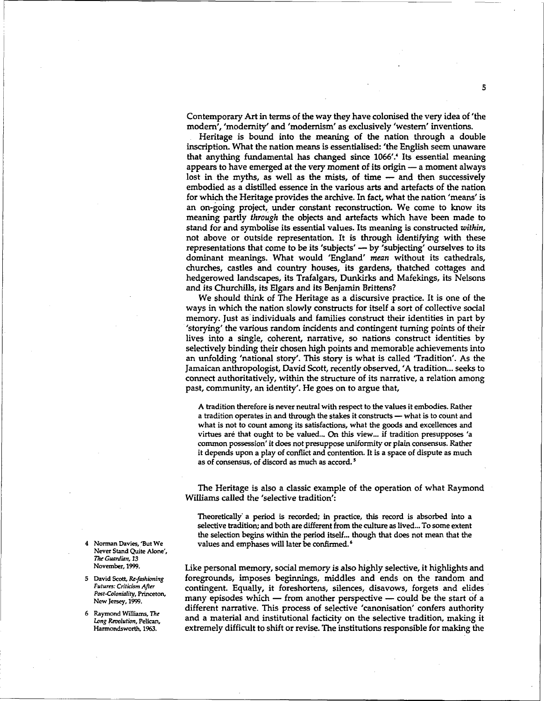Contemporary Art in terms of the way they have colonised the very idea of 'the modern', 'modernity' and 'modernism' as exclusively 'western' inventions.

Heritage is bound into the meaning of the nation through a double inscription. What the nation means is essentialised: 'the English seem unaware that anything fundamental has changed since 1066'/ Its essential meaning appears to have emerged at the very moment of its origin — a moment always lost in the myths, as well as the mists, of time — and then successively embodied as a distilled essence in the various arts and artefacts of the nation for which the Heritage provides the archive. In fact, what the nation 'means' is an on-going project, under constant reconstruction. We come to know its meaning partly *through* the objects and artefacts which have been made to stand for and symbolise its essential values. Its meaning is constructed *within,* not above or outside representation. It is through identifying with these representations that come to be its 'subjects' — by 'subjecting' ourselves to its dominant meanings. What would 'England' *mean* without its cathedrals, churches, castles and country houses, its gardens, thatched cottages and hedgerowed landscapes, its Trafalgars, Dunkirks and Mafekings, its Nelsons and its Churchills, its Elgars and its Benjamin Brittens?

We should think of The Heritage as a discursive practice. It is one of the ways in which the nation slowly constructs for itself a sort of collective social memory. Just as individuals and families construct their identities in part by 'storying' the various random incidents and contingent turning points of their lives into a single, coherent, narrative, so nations construct identities by selectively binding their chosen high points and memorable achievements into an unfolding 'national story'. This story is what is called 'Tradition'. As the Jamaican anthropologist, David Scott, recently observed, 'A tradition... seeks to connect authoritatively, within the structure of its narrative, a relation among past, community, an identity'. He goes on to argue that,

A tradition therefore is never neutral with respect to the values it embodies. Rather a tradition operates in and through the stakes it constructs — what is to count and what is not to count among its satisfactions, what the goods and excellences and virtues are that ought to be valued... On this view... if tradition presupposes 'a common possession' it does not presuppose uniformity or plain consensus. Rather it depends upon a play of conflict and contention. It is a space of dispute as much as of consensus, of discord as much as accord.<sup>5</sup>

The Heritage is also a classic example of the operation of what Raymond Williams called the 'selective tradition':

Theoretically' a period is recorded; in practice, this record is absorbed into a selective tradition; and both are different from the culture as lived... To some extent the selection begins within the period itself... though that does not mean that the values and emphases will later be confirmed.<sup>6</sup>

Like personal memory, social memory is also highly selective, it highlights and foregrounds, imposes beginnings, middles and ends on the random and contingent. Equally, it foreshortens, silences, disavows, forgets and elides many episodes which — from another perspective — could be the start of a different narrative. This process of selective 'canonisation' confers authority and a material and institutional facticity on the selective tradition, making it extremely difficult to shift or revise. The institutions responsible for making the

**4 Norman Davies, 'But We Never Stand Quite Alone',** *The Guardian,* **13 November, 1999.**

**5 David Scott,** *Re-fashioning Futures: Criticism After Post-Coloniality,* **Princeton, New Jersey, 1999.**

**6 Raymond Williams,** *The Long Revolution,* **Pelican, Harmondsworth, 1963.**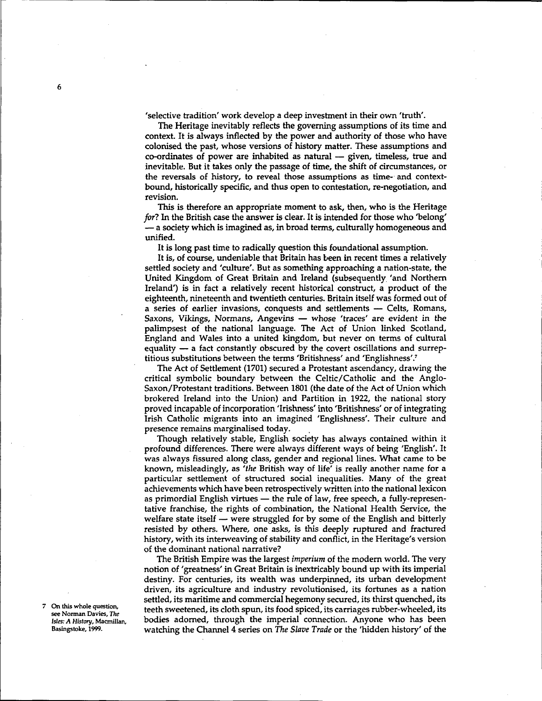'selective tradition' work develop a deep investment in their own 'truth'.

The Heritage inevitably reflects the governing assumptions of its time and context. It is always inflected by the power and authority of those who have colonised the past, whose versions of history matter. These assumptions and co-ordinates of power are inhabited as natural — given, timeless, true and inevitable. But it takes only the passage of time, the shift of circumstances, or the reversals of history, to reveal those assumptions as time- and contextbound, historically specific, and thus open to contestation, re-negotiation, and revision.

This is therefore an appropriate moment to ask, then, who is the Heritage *for?* In the British case the answer is clear. It is intended for those who 'belong' — a society which is imagined as, in broad terms, culturally homogeneous and unified.

It is long past time to radically question this foundational assumption.

It is, of course, undeniable that Britain has been in recent times a relatively settled society and 'culture'. But as something approaching a nation-state, the United Kingdom of Great Britain and Ireland (subsequently 'and Northern Ireland') is in fact a relatively recent historical construct, a product of the eighteenth, nineteenth and twentieth centuries. Britain itself was formed out of a series of earlier invasions, conquests and settlements — Celts, Romans, Saxons, Vikings, Normans, Angevins — whose 'traces' are evident in the palimpsest of the national language. The Act of Union linked Scotland, England and Wales into a united kingdom, but never on terms of cultural equality — a fact constantly obscured by the covert oscillations and surreptitious substitutions between the terms 'Britishness' and 'Englishness'.'

The Act of Settlement (1701) secured a Protestant ascendancy, drawing the critical symbolic boundary between the Celtic/Catholic and the Anglo-Saxon/Protestant traditions. Between 1801 (the date of the Act of Union which brokered Ireland into the Union) and Partition in 1922, the national story proved incapable of incorporation 'Irishness' into 'Britishness' or of integrating Irish Catholic migrants into an imagined 'Englishness'. Their culture and presence remains marginalised today.

Though relatively stable, English society has always contained within it profound differences. There were always different ways of being 'English'. It was always fissured along class, gender and regional lines. What came to be known, misleadingly, as *'the* British way of life' is really another name for a particular settlement of structured social inequalities. Many of the great achievements which have been retrospectively written into the national lexicon as primordial English virtues — the rule of law, free speech, a fully-representative franchise, the rights of combination, the National Health Service, the welfare state itself — were struggled for by some of the English and bitterly resisted by others. Where, one asks, is this deeply ruptured and fractured history, with its interweaving of stability and conflict, in the Heritage's version of the dominant national narrative?

The British Empire was the largest *imperium* of the modern world. The very notion of 'greatness' in Great Britain is inextricably bound up with its imperial destiny. For centuries, its wealth was underpinned, its urban development driven, its agriculture and industry revolutionised, its fortunes as a nation settled, its maritime and commercial hegemony secured, its thirst quenched, its teeth sweetened, its cloth spun, its food spiced, its carriages rubber-wheeled, its bodies adorned, through the imperial connection. Anyone who has been watching the Channel 4 series on *The Slave Trade* or the 'hidden history' of the

**7 On this whole question, see Norman Davies,** *The Isles: A History,* **Macmillan, Basingstoke, 1999.**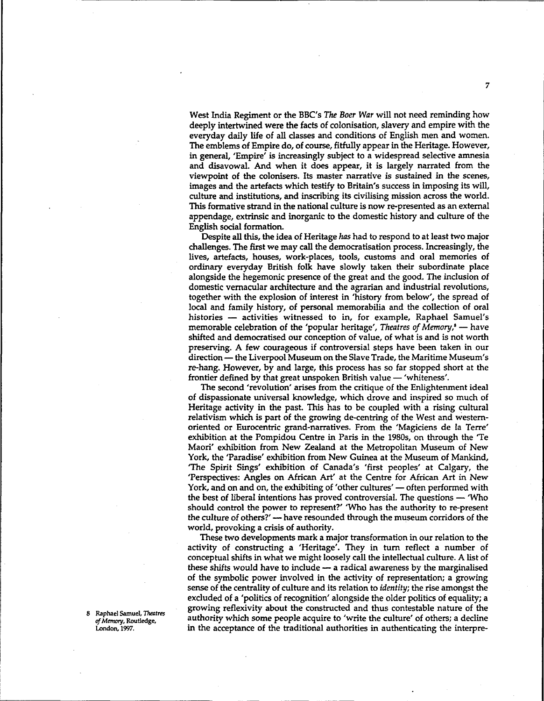West India Regiment or the BBC's *The Boer War* will not need reminding how deeply intertwined were the facts of colonisation, slavery and empire with the everyday daily life of all classes and conditions of English men and women. The emblems of Empire do, of course, fitfully appear in the Heritage. However, in general, 'Empire' is increasingly subject to a widespread selective amnesia and disavowal. And when it does appear, it is largely narrated from the viewpoint of the colonisers. Its master narrative is sustained in the scenes, images and the artefacts which testify to Britain's success in imposing its will, culture and institutions, and inscribing its civilising mission across the world. This formative strand in the national culture is now re-presented as an external appendage, extrinsic and inorganic to the domestic history and culture of the English social formation.

Despite all this, the idea of Heritage *has* had to respond to at least two major challenges. The first we may call the démocratisation process. Increasingly, the lives, artefacts, houses, work-places, tools, customs and oral memories of ordinary everyday British folk have slowly taken their subordinate place alongside the hegemonic presence of the great and the good. The inclusion of domestic vernacular architecture and the agrarian and industrial revolutions, together with the explosion of interest in 'history from below', the spread of local and family history, of personal memorabilia and the collection of oral histories — activities witnessed to in, for example, Raphael Samuel's memorable celebration of the 'popular heritage', *Theatres of Memory,'* — have shifted and democratised our conception of value, of what is and is not worth preserving. A few courageous if controversial steps have been taken in our direction — the Liverpool Museum on the Slave Trade, the Maritime Museum's re-hang. However, by and large, this process has so far stopped short at the frontier defined by that great unspoken British value — 'whiteness'.

The second 'revolution' arises from the critique of the Enlightenment ideal of dispassionate universal knowledge, which drove and inspired so much of Heritage activity in the past. This has to be coupled with a rising cultural relativism which is part of the growing de-centring of the West and westernoriented or Eurocentric grand-narratives. From the 'Magiciens de la Terre' exhibition at the Pompidou Centre in Paris in the 1980s, on through the 'Te Maori' exhibition from New Zealand at the Metropolitan Museum of New York, the 'Paradise' exhibition from New Guinea at the Museum of Mankind, 'The Spirit Sings' exhibition of Canada's 'first peoples' at Calgary, the 'Perspectives: Angles on African Art' at the Centre for African Art in New York, and on and on, the exhibiting of 'other cultures' — often performed with the best of liberal intentions has proved controversial. The questions — 'Who should control the power to represent?' 'Who has the authority to re-present the culture of others?' — have resounded through the museum corridors of the world, provoking a crisis of authority.

These two developments mark a major transformation in our relation to the activity of constructing a 'Heritage'. They in turn reflect a number of conceptual shifts in what we might loosely call the intellectual culture. A list of these shifts would have to include — a radical awareness by the marginalised of the symbolic power involved in the activity of representation; a growing sense of the centrality of culture and its relation to *identity;* the rise amongst the excluded of a 'politics of recognition' alongside the older politics of equality; a growing reflexivity about the constructed and thus contestable nature of the authority which some people acquire to 'write the culture' of others; a decline in the acceptance of the traditional authorities in authenticating the interpre-

**8 Raphael Samuel** *Theatres of Memory,* **Routledge, London, 1997.**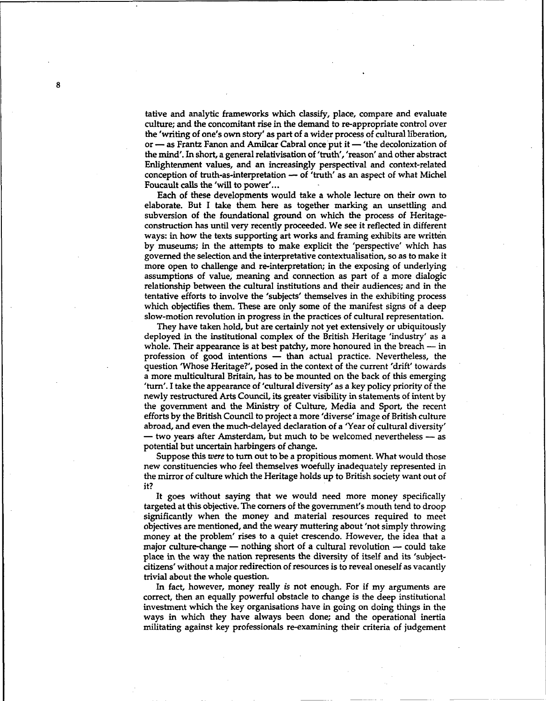tativ e an d analyti c framework s whic h classify , place , compar e an d evaluat e culture ; an d th e concomitan t rise i n th e deman d t o re-appropriat e contro l ove r th e 'writin g of one' s ow n story' a s par t of a wide r proces s of cultura l liberation , or — as Frantz Fanon and Amilcar Cabral once put it — 'the decolonization of the mind'. In short, a general relativisation of 'truth', 'reason' and other abstract Enlightenment values, and an increasingly perspectival and context-related conception of truth-as-interpretation — of 'truth' as an aspect of what Michel Foucault calls the 'will to power'...

Eac h of thes e development s woul d tak e a whol e lectur e o n thei r ow n t o elaborate. But I take them here as together marking an unsettling and subversio n of th e foundationa l groun d o n whic h th e proces s of Heritage construction has until very recently proceeded. We see it reflected in different ways: in how the texts supporting art works and framing exhibits are written by museums; in the attempts to make explicit the 'perspective' which has governe d th e selectio n an d th e interpretativ e contextualisation , s o a s t o mak e i t more open to challenge and re-interpretation; in the exposing of underlying assumptions of value, meaning and connection as part of a more dialogic relationship between the cultural institutions and their audiences; and in the tentative efforts to involve the 'subjects' themselves in the exhibiting process which objectifies them. These are only some of the manifest signs of a deep slow-motion revolution in progress in the practices of cultural representation.

They have taken hold, but are certainly not yet extensively or ubiquitously deploye d i n th e institutiona l comple x of th e Britis h Heritag e 'industry' a s a whole. Their appearance is at best patchy, more honoured in the breach — in professio n of goo d intention s — tha n actua l practice . Nevertheless , th e questio n 'Whos e Heritage?' , pose d i n th e contex t of th e curren t 'drift' toward s a mor e multicultura l Britain , ha s t o b e mounte d o n th e bac k of thi s emergin g 'turn'. I take the appearance of 'cultural diversity' as a key policy priority of the newly restructured Arts Council, its greater visibility in statements of intent by the government and the Ministry of Culture, Media and Sport, the recent effort s b y th e Britis h Counci l t o projec t a mor e 'diverse' imag e of Britis h cultur e abroad , an d eve n th e much-delaye d declaratio n of a 'Year of cultura l diversity' — two years after Amsterdam, but much to be welcomed nevertheless — as potentia l bu t uncertai n harbinger s of change .

Suppose this were to turn out to be a propitious moment. What would those ne w constituencie s wh o fee l themselve s woefull y inadequatel y represente d i n the mirror of culture which the Heritage holds up to British society want out of it ?

It goes without saying that we would need more money specifically targeted at this objective. The corners of the government's mouth tend to droop significantly when the money and material resources required to meet objective s ar e mentioned , an d th e wear y mutterin g abou t 'no t simpl y throwin g money at the problem' rises to a quiet crescendo. However, the idea that a major culture-change — nothing short of a cultural revolution — could take place in the way the nation represents the diversity of itself and its 'subjectcitizens' without a major redirection of resources is to reveal oneself as vacantly trivia l abou t th e whol e question .

In fact, however, money really *is* not enough. For if my arguments are correct, then an equally powerful obstacle to change is the deep institutional investment which the key organisations have in going on doing things in the ways in which they have always been done; and the operational inertia militatin g agains t ke y professional s re-examinin g thei r criteri a of judgemen t

**8**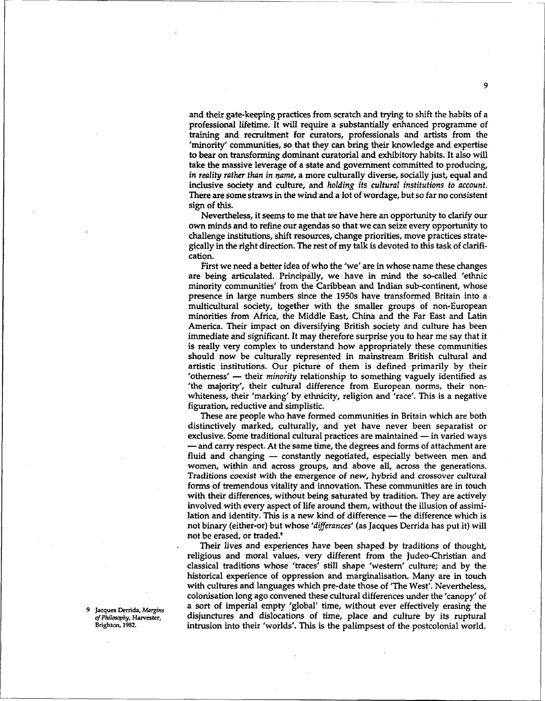and their gate-keeping practices from scratch and trying to shift the habits of a professional lifetime. It will require a substantially enhanced programme of training and recruitment for curators, professionals and artists from the 'minority' communities, so that they can bring their knowledge and expertise to bear on transforming dominant curatorial and exhibitory habits. It also will take the massive leverage of a state and government committed to producing, *in reality rather than in name,* a more culturally diverse, socially just, equal and inclusive society and culture, and *holding its cultural institutions to account.* There are some straws in the wind and a lot of wordage, but so far no consistent sign of this.

Nevertheless, it seems to me that *we* have here an opportunity to clarify our own minds and to refine our agendas so that we can seize every opportunity to challenge institutions, shift resources, change priorities, move practices strategically in the right direction. The rest of my talk is devoted to this task of clarification.

First we need a better idea of who the 'we' are in whose name these changes are being articulated. Principally, we have in mind the so-called 'ethnic minority communities' from the Caribbean and Indian sub-continent, whose presence in large numbers since the 1950s have transformed Britain into a multicultural society, together with the smaller groups of non-European minorities from Africa, the Middle East, China and the Far East and Latin America. Their impact on diversifying British society and culture has been immediate and significant. It may therefore surprise you to hear me say that it is really very complex to understand how appropriately these communities should now be culturally represented in mainstream British cultural and artistic institutions. Our picture of them is defined primarily by their 'otherness' — their *minority* relationship to something vaguely identified as 'the majority', their cultural difference from European norms, their nonwhiteness, their 'marking' by ethnicity, religion and 'race'. This is a negative figuration, reductive and simplistic.

These are people who have formed communities in Britain which are both distinctively marked, culturally, and yet have never been separatist or exclusive. Some traditional cultural practices are maintained — in varied ways — and carry respect. At the same time, the degrees and forms of attachment are fluid and changing — constantly negotiated, especially between men and women, within and across groups, and above all, across the generations. Traditions coexist with the emergence of new, hybrid and crossover cultural forms of tremendous vitality and innovation. These communities are in touch with their differences, without being saturated by tradition. They are actively involved with every aspect of life around them, without the illusion of assimilation and identity. This is a new kind of difference — the difference which is not binary (either-or) but whose *'differances'* (as Jacques Derrida has put it) will not be erased, or traded.'

Their lives and experiences have been shaped by traditions of thought, religious and moral values, very different from the Judeo-Christian and classical traditions whose 'traces' still shape 'western' culture; and by the historical experience of oppression and marginalisation. Many are in touch with cultures and languages which pre-date those of "The West'. Nevertheless, colonisation long ago convened these cultural differences under the 'canopy' of a sort of imperial empty 'global' time, without ever effectively erasing the disjunctures and dislocations of time, place and culture by its ruptural intrusion into their 'worlds'. This is the palimpsest of the postcolonial world.

**9 Jacques Derrida,** *Margins of Philosophy,* **Harvester, Brighton, 1982.**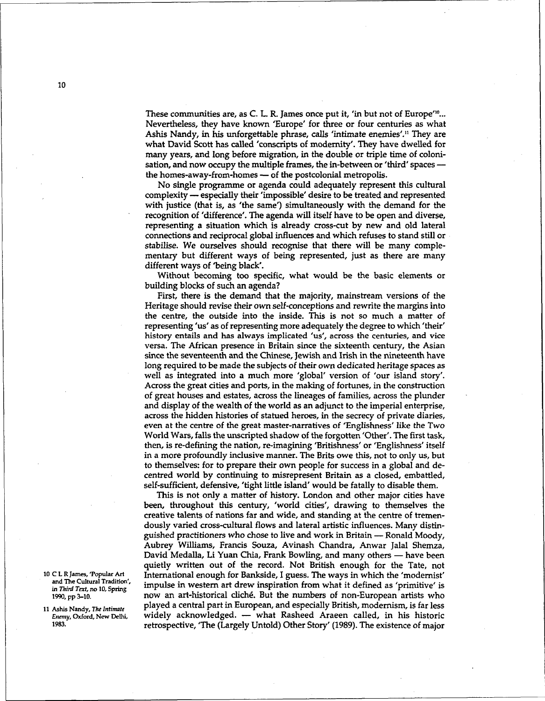These communities are, as C. L. R. James once put it, 'in but not of Europe'<sup>10</sup>... Nevertheless, they have known 'Europe' for three or four centuries as what Ashis Nandy, in his unforgettable phrase, calls 'intimate enemies'." They are what David Scott has called 'conscripts of modernity'. They have dwelled for many years, and long before migration, in the double or triple time of colonisation, and now occupy the multiple frames, the in-between or 'third' spaces the homes-away-from-homes  $-$  of the postcolonial metropolis.

No single programme or agenda could adequately represent this cultural complexity — especially their 'impossible' desire to be treated and represented with justice (that is, as 'the same') simultaneously with the demand for the recognition of 'difference'. The agenda will itself have to be open and diverse, representing a situation which is already cross-cut by new and old lateral connections and reciprocal global influences and which refuses to stand still or stabilise. We ourselves should recognise that there will be many complementary but different ways of being represented, just as there are many different ways of 'being black'.

Without becoming too specific, what would be the basic elements or building blocks of such an agenda?

First, there is the demand that the majority, mainstream versions of the Heritage should revise their own self-conceptions and rewrite the margins into the centre, the outside into the inside. This is not so much a matter of representing 'us' as of representing more adequately the degree to which 'their' history entails and has always implicated 'us', across the centuries, and vice versa. The African presence in Britain since the sixteenth century, the Asian since the seventeenth and the Chinese, Jewish and Irish in the nineteenth have long required to be made the subjects of their own dedicated heritage spaces as well as integrated into a much more 'global' version of 'our island story'. Across the great cities and ports, in the making of fortunes, in the construction of great houses and estates, across the lineages of families, across the plunder and display of the wealth of the world as an adjunct to the imperial enterprise, across the hidden histories of statued heroes, in the secrecy of private diaries, even at the centre of the great master-narratives of 'Englishness' like the Two World Wars, falls the unscripted shadow of the forgotten 'Other'. The first task, then, is re-defining the nation, re-imagining 'Britishness' or 'Englishness' itself in a more profoundly inclusive manner. The Brits owe this, not to only us, but to themselves: for to prepare their own people for success in a global and decentred world by continuing to misrepresent Britain as a closed, embattled, self-sufficient, defensive, 'tight little island' would be fatally to disable them.

This is not only a matter of history. London and other major cities have been, throughout this century, 'world cities', drawing to themselves the creative talents of nations far and wide, and standing at the centre of tremendously varied cross-cultural flows and lateral artistic influences. Many distinguished practitioners who chose to live and work in Britain — Ronald Moody, Aubrey Williams, Francis Souza, Avinash Chandra, Anwar Jalal Shemza, David Medalla, Li Yuan Chia, Frank Bowling, and many others — have been quietly written out of the record. Not British enough for the Täte, not International enough for Bankside, I guess. The ways in which the 'modernist' impulse in western art drew inspiration from what it defined as 'primitive' is now an art-historical cliché. But the numbers of non-European artists who played a central part in European, and especially British, modernism, is far less widely acknowledged. — what Rasheed Araeen called, in his historic retrospective, "The (Largely Untold) Other Story' (1989). The existence of major

**10 C L R James, 'Popular Art and The Cultural Tradition', in** *Third Text,* **no 10, Spring 1990, pp 3-10.**

**11 Ashis Nandy,** *The Intimate Emmy,* **Oxford, New Delhi, 1983.**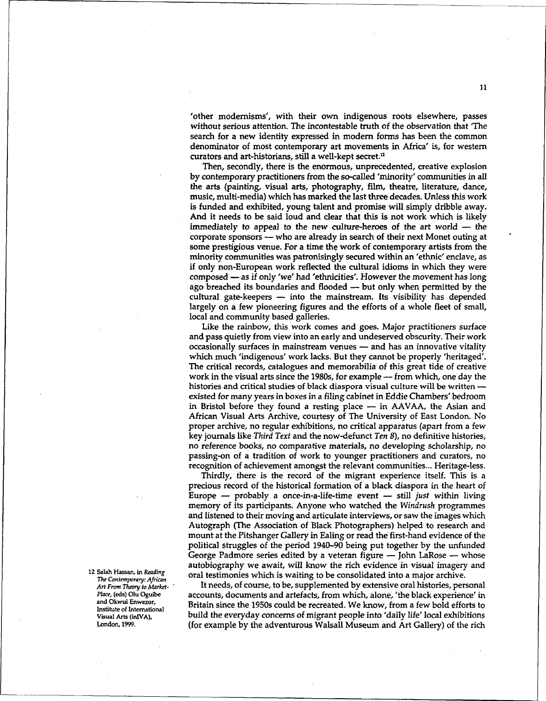'other modernisms', with their own indigenous roots elsewhere, passes without serious attention. The incontestable truth of the observation that 'The search for a new identity expressed in modern forms has been the common denominator of most contemporary art movements in Africa' is, for western curators and art-historians, still a well-kept secret.<sup>12</sup>

Then, secondly, there is the enormous, unprecedented, creative explosion by contemporary practitioners from the so-called 'minority' communities in all the arts (painting, visual arts, photography, film, theatre, literature, dance, music, multi-media) which has marked the last three decades. Unless this work is funded and exhibited, young talent and promise will simply dribble away. And it needs to be said loud and clear that this is not work which is likely immediately to appeal to the new culture-heroes of the art world — the corporate sponsors — who are already in search of their next Monet outing at some prestigious venue. For a time the work of contemporary artists from the minority communities was patronisingly secured within an 'ethnic' enclave, as if only non-European work reflected the cultural idioms in which they were composed — as if only 'we' had 'ethnicities'. However the movement has long ago breached its boundaries and flooded — but only when permitted by the cultural gate-keepers — into the mainstream. Its visibility has depended largely on a few pioneering figures and the efforts of a whole fleet of small, local and community based galleries.

Like the rainbow, this work comes and goes. Major practitioners surface and pass quietly from view into an early and undeserved obscurity. Their work occasionally surfaces in mainstream venues — and has an innovative vitality which much 'indigenous' work lacks. But they cannot be properly 'heritaged'. The critical records, catalogues and memorabilia of this great tide of creative work in the visual arts since the 1980s, for example — from which, one day the histories and critical studies of black diaspora visual culture will be written existed for many years in boxes in a filing cabinet in Eddie Chambers' bedroom in Bristol before they found a resting place — in AAVAA, the Asian and African Visual Arts Archive, courtesy of The University of East London. No proper archive, no regular exhibitions, no critical apparatus (apart from a few key journals like *Third Text* and the now-defunct *Ten 8),* no definitive histories, no reference books, no comparative materials, no developing scholarship, no passing-on of a tradition of work to younger practitioners and curators, no recognition of achievement amongst the relevant communities... Heritage-less.

Thirdly, there is the record of the migrant experience itself. This is a precious record of the historical formation of a black diaspora in the heart of Europe — probably a once-in-a-life-time event — still *just* within living memory of its participants. Anyone who watched the *Windrush* programmes and listened to their moving and articulate interviews, or saw the images which Autograph (The Association of Black Photographers) helped to research and mount at the Pitshanger Gallery in Ealing or read the first-hand evidence of the political struggles of the period 1940-90 being put together by the unfunded George Padmore series edited by a veteran figure — John LaRose — whose autobiography we await, will know the rich evidence in visual imagery and oral testimonies which is waiting to be consolidated into a major archive.

It needs, of course, to be, supplemented by extensive oral histories, personal accounts, documents and artefacts, from which, alone, 'the black experience' in Britain since the 1950s could be recreated. We know, from a few bold efforts to build the everyday concerns of migrant people into 'daily life' local exhibitions (for example by the adventurous Walsall Museum and Art Gallery) of the rich

**12 Salah Hassan, in** *Reading The Contemporary: African Art From Theory to Market-Place,* **(eds) Olu Oguibe and Okwui Enwezor, Institute of International Visual Arts (inIVA), London, 1999.**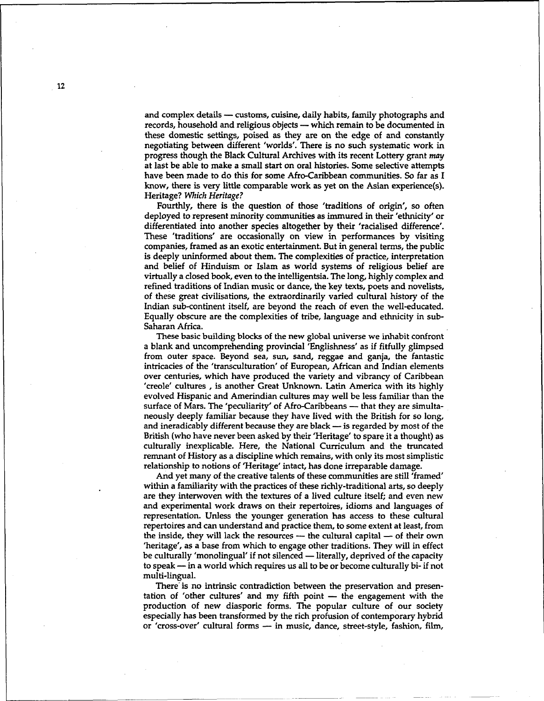and complex details — customs, cuisine, daily habits, family photographs and records , househol d an d religiou s object s — whic h remai n t o b e documente d i n thes e domesti c settings , poise d a s the y ar e o n th e edg e of an d constantl y negotiatin g betwee n differen t 'worlds' . Ther e i s n o suc h systemati c wor k i n progres s thoug h th e Black Cultura l Archive s wit h it s recen t Lotter y gran t *may* at last be able to make a small start on oral histories. Some selective attempts have been made to do this for some Afro-Caribbean communities. So far as I know, there is very little comparable work as yet on the Asian experience(s). Heritage ? *Which Heritage?*

Fourthly, there is the question of those 'traditions of origin', so often deploye d t o represen t minorit y communitie s a s immure d i n thei r 'ethnicity' o r differentiated into another species altogether by their 'racialised difference'. These 'traditions' are occasionally on view in performances by visiting companies , frame d a s a n exoti c entertainment . Bu t i n genera l terms , th e publi c is deeply uninformed about them. The complexities of practice, interpretation and belief of Hinduism or Islam as world systems of religious belief are virtuall y a close d book , eve n t o th e intelligentsia . Th e long , highl y comple x an d refined traditions of Indian music or dance, the key texts, poets and novelists, of these great civilisations, the extraordinarily varied cultural history of the India n sub-continen t itself, ar e beyon d th e reac h of eve n th e well-educated . Equally obscure are the complexities of tribe, language and ethnicity in sub-Sahara n Africa .

These basic building blocks of the new global universe we inhabit confront a blank and uncomprehending provincial 'Englishness' as if fitfully glimpsed from outer space. Beyond sea, sun, sand, reggae and ganja, the fantastic intricacie s of th e 'transculturation' of European , African an d India n element s ove r centuries , whic h hav e produce d th e variet y an d vibranc y of Caribbea n 'creole' cultures, is another Great Unknown. Latin America with its highly evolve d Hispani c an d Amerindia n culture s ma y wel l b e les s familiar tha n th e surface of Mars. The 'peculiarity' of Afro-Caribbeans — that they are simultaneousl y deepl y familiar becaus e the y hav e live d wit h th e Britis h for s o long , and ineradicably different because they are black - is regarded by most of the British (who have never been asked by their 'Heritage' to spare it a thought) as culturall y inexplicable . Here , th e Nationa l Curriculu m an d th e truncate d remnant of History as a discipline which remains, with only its most simplistic relationship to notions of 'Heritage' intact, has done irreparable damage.

An d ye t man y of th e creativ e talent s of thes e communitie s ar e stil l 'framed' within a familiarity with the practices of these richly-traditional arts, so deeply are they interwoven with the textures of a lived culture itself; and even new an d experimenta l wor k draw s o n thei r repertoires , idiom s an d language s of representation. Unless the younger generation has access to these cultural repertoires and can understand and practice them, to some extent at least, from the inside, they will lack the resources — the cultural capital — of their own 'heritage', as a base from which to engage other traditions. They will in effect be culturally 'monolingual' if not silenced — literally, deprived of the capacity to speak — in a world which requires us all to be or become culturally bi- if not multi-lingual .

There is no intrinsic contradiction between the preservation and presentation of 'other cultures' and my fifth point - the engagement with the productio n of ne w diaspori c forms . Th e popula r cultur e o f ou r society especiall y ha s bee n transforme d b y th e ric h profusio n of contemporar y hybri d o r 'cross-over' cultura l form s — i n music , dance , street-style , fashion , film ,